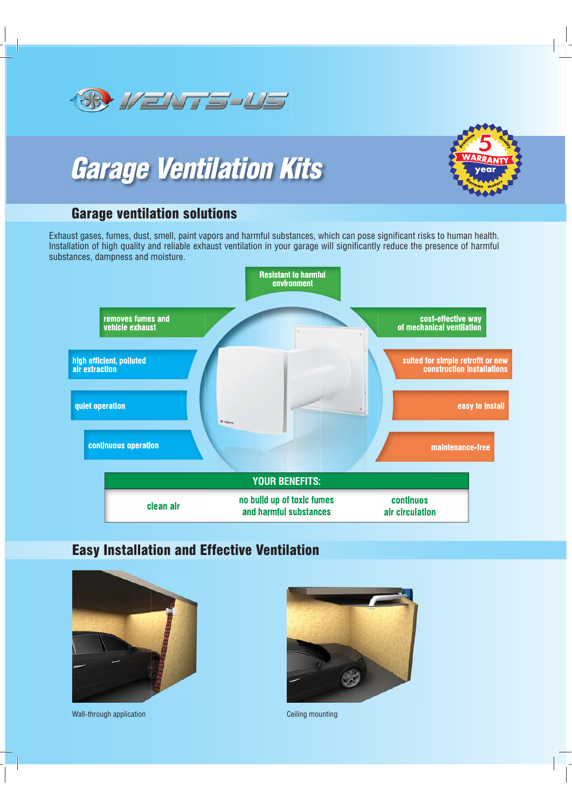

# *Garage Ventilation Kits*



## Garage ventilation solutions

Exhaust gases, fumes, dust, smell, paint vapors and harmful substances, which can pose significant risks to human health. Installation of high quality and reliable exhaust ventilation in your garage will significantly reduce the presence of harmful substances, dampness and moisture.



# Easy Installation and Effective Ventilation



Wall-through application Ceiling mounting Ceiling mounting